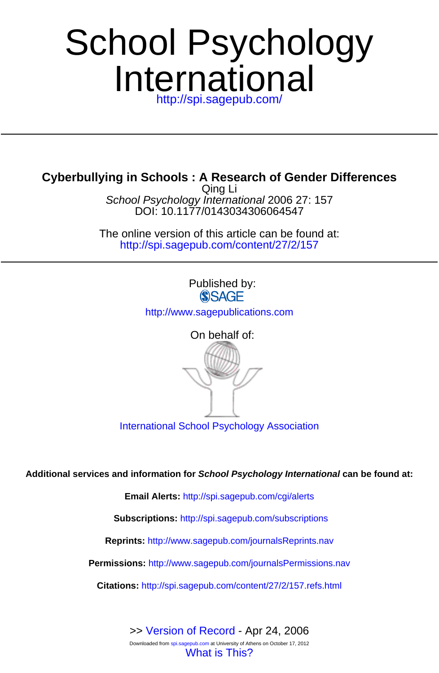# International School Psychology

DOI: 10.1177/0143034306064547 School Psychology International 2006 27: 157 Qing Li **Cyberbullying in Schools : A Research of Gender Differences**

> <http://spi.sagepub.com/content/27/2/157> The online version of this article can be found at:

> > Published by:<br>
> > SAGE <http://www.sagepublications.com> On behalf of:

[International School Psychology Association](http://www.ispaweb.org)

**Additional services and information for School Psychology International can be found at:**

**Email Alerts:** <http://spi.sagepub.com/cgi/alerts>

**Subscriptions:** <http://spi.sagepub.com/subscriptions>

**Reprints:** <http://www.sagepub.com/journalsReprints.nav>

**Permissions:** <http://www.sagepub.com/journalsPermissions.nav>

**Citations:** <http://spi.sagepub.com/content/27/2/157.refs.html>

[What is This?](http://online.sagepub.com/site/sphelp/vorhelp.xhtml) >> [Version of Record -](http://spi.sagepub.com/content/27/2/157.full.pdf) Apr 24, 2006 Downloaded from [spi.sagepub.com](http://spi.sagepub.com/) at University of Athens on October 17, 2012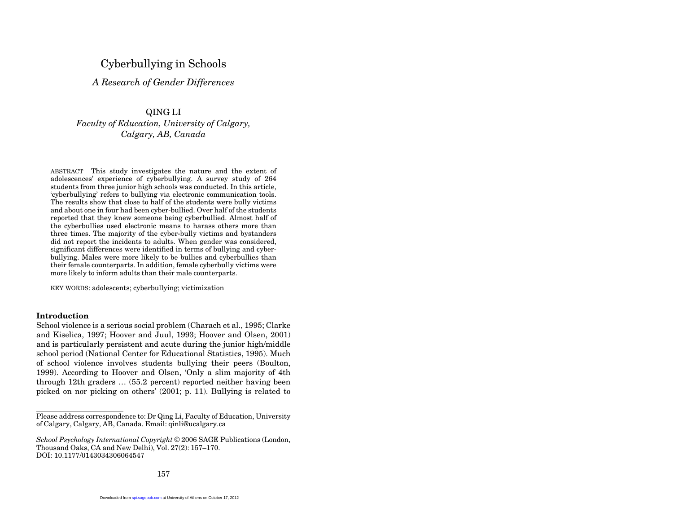## Cyberbullying in Schools

## *A Research of Gender Differences*

## QING LI

## *Faculty of Education, University of Calgary, Calgary, AB, Canada*

ABSTRACT This study investigates the nature and the extent of adolescences' experience of cyberbullying. A survey study of 264 students from three junior high schools was conducted. In this article, 'cyberbullying' refers to bullying via electronic communication tools. The results show that close to half of the students were bully victims and about one in four had been cyber-bullied. Over half of the students reported that they knew someone being cyberbullied. Almost half of the cyberbullies used electronic means to harass others more than three times. The majority of the cyber-bully victims and bystanders did not report the incidents to adults. When gender was considered, significant differences were identified in terms of bullying and cyberbullying. Males were more likely to be bullies and cyberbullies than their female counterparts. In addition, female cyberbully victims were more likely to inform adults than their male counterparts.

KEY WORDS: adolescents; cyberbullying; victimization

#### **Introduction**

School violence is a serious social problem (Charach et al., 1995; Clarke and Kiselica, 1997; Hoover and Juul, 1993; Hoover and Olsen, 2001) and is particularly persistent and acute during the junior high/middle school period (National Center for Educational Statistics, 1995). Much of school violence involves students bullying their peers (Boulton, 1999). According to Hoover and Olsen, 'Only a slim majority of 4th through 12th graders … (55.2 percent) reported neither having been picked on nor picking on others' (2001; p. 11). Bullying is related to

Please address correspondence to: Dr Qing Li, Faculty of Education, University of Calgary, Calgary, AB, Canada. Email: qinli@ucalgary.ca

*School Psychology International Copyright* © 2006 SAGE Publications (London, Thousand Oaks, CA and New Delhi), Vol. 27(2): 157–170. DOI: 10.1177/0143034306064547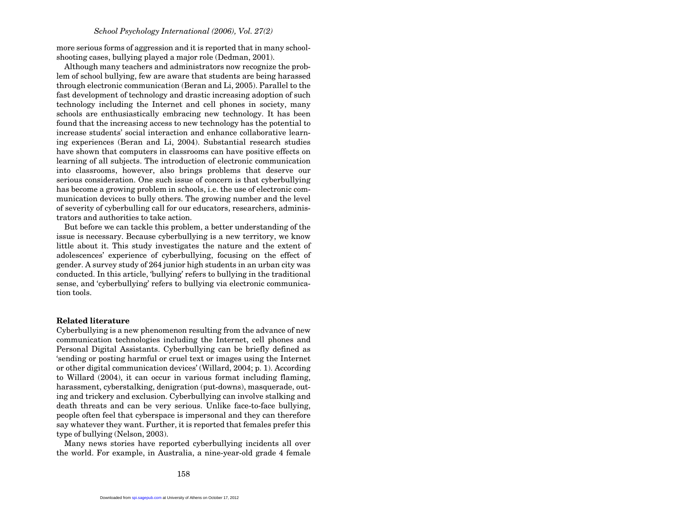more serious forms of aggression and it is reported that in many schoolshooting cases, bullying played a major role (Dedman, 2001).

Although many teachers and administrators now recognize the problem of school bullying, few are aware that students are being harassed through electronic communication (Beran and Li, 2005). Parallel to the fast development of technology and drastic increasing adoption of such technology including the Internet and cell phones in society, many schools are enthusiastically embracing new technology. It has been found that the increasing access to new technology has the potential to increase students' social interaction and enhance collaborative learning experiences (Beran and Li, 2004). Substantial research studies have shown that computers in classrooms can have positive effects on learning of all subjects. The introduction of electronic communication into classrooms, however, also brings problems that deserve our serious consideration. One such issue of concern is that cyberbullying has become a growing problem in schools, i.e. the use of electronic communication devices to bully others. The growing number and the level of severity of cyberbulling call for our educators, researchers, administrators and authorities to take action.

But before we can tackle this problem, a better understanding of the issue is necessary. Because cyberbullying is a new territory, we know little about it. This study investigates the nature and the extent of adolescences' experience of cyberbullying, focusing on the effect of gender. A survey study of 264 junior high students in an urban city was conducted. In this article, 'bullying' refers to bullying in the traditional sense, and 'cyberbullying' refers to bullying via electronic communication tools.

#### **Related literature**

Cyberbullying is a new phenomenon resulting from the advance of new communication technologies including the Internet, cell phones and Personal Digital Assistants. Cyberbullying can be briefly defined as 'sending or posting harmful or cruel text or images using the Internet or other digital communication devices' (Willard, 2004; p. 1). According to Willard (2004), it can occur in various format including flaming, harassment, cyberstalking, denigration (put-downs), masquerade, outing and trickery and exclusion. Cyberbullying can involve stalking and death threats and can be very serious. Unlike face-to-face bullying, people often feel that cyberspace is impersonal and they can therefore say whatever they want. Further, it is reported that females prefer this type of bullying (Nelson, 2003).

Many news stories have reported cyberbullying incidents all over the world. For example, in Australia, a nine-year-old grade 4 female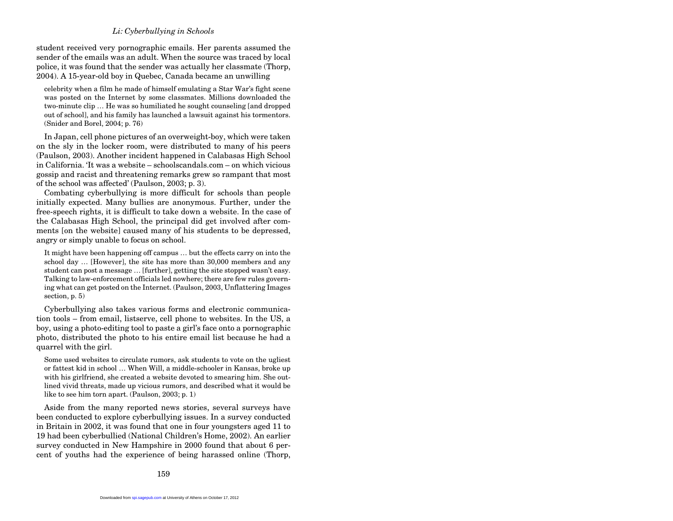#### *Li: Cyberbullying in Schools*

student received very pornographic emails. Her parents assumed the sender of the emails was an adult. When the source was traced by local police, it was found that the sender was actually her classmate (Thorp, 2004). A 15-year-old boy in Quebec, Canada became an unwilling

celebrity when a film he made of himself emulating a Star War's fight scene was posted on the Internet by some classmates. Millions downloaded the two-minute clip … He was so humiliated he sought counseling [and dropped out of school], and his family has launched a lawsuit against his tormentors. (Snider and Borel, 2004; p. 76)

In Japan, cell phone pictures of an overweight-boy, which were taken on the sly in the locker room, were distributed to many of his peers (Paulson, 2003). Another incident happened in Calabasas High School in California. 'It was a website – schoolscandals.com – on which vicious gossip and racist and threatening remarks grew so rampant that most of the school was affected' (Paulson, 2003; p. 3).

Combating cyberbullying is more difficult for schools than people initially expected. Many bullies are anonymous. Further, under the free-speech rights, it is difficult to take down a website. In the case of the Calabasas High School, the principal did get involved after comments [on the website] caused many of his students to be depressed, angry or simply unable to focus on school.

It might have been happening off campus … but the effects carry on into the school day … [However], the site has more than 30,000 members and any student can post a message … [further], getting the site stopped wasn't easy. Talking to law-enforcement officials led nowhere; there are few rules governing what can get posted on the Internet. (Paulson, 2003, Unflattering Images section, p. 5)

Cyberbullying also takes various forms and electronic communication tools – from email, listserve, cell phone to websites. In the US, a boy, using a photo-editing tool to paste a girl's face onto a pornographic photo, distributed the photo to his entire email list because he had a quarrel with the girl.

Some used websites to circulate rumors, ask students to vote on the ugliest or fattest kid in school … When Will, a middle-schooler in Kansas, broke up with his girlfriend, she created a website devoted to smearing him. She outlined vivid threats, made up vicious rumors, and described what it would be like to see him torn apart. (Paulson, 2003; p. 1)

Aside from the many reported news stories, several surveys have been conducted to explore cyberbullying issues. In a survey conducted in Britain in 2002, it was found that one in four youngsters aged 11 to 19 had been cyberbullied (National Children's Home, 2002). An earlier survey conducted in New Hampshire in 2000 found that about 6 percent of youths had the experience of being harassed online (Thorp,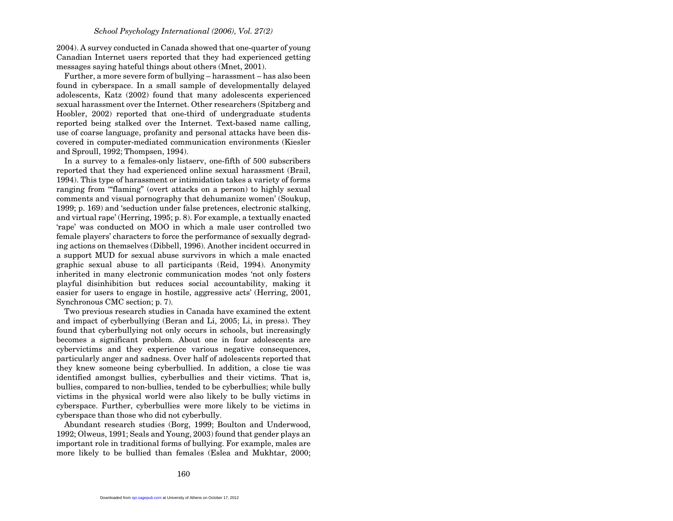2004). A survey conducted in Canada showed that one-quarter of young Canadian Internet users reported that they had experienced getting messages saying hateful things about others (Mnet, 2001).

Further, a more severe form of bullying – harassment – has also been found in cyberspace. In a small sample of developmentally delayed adolescents, Katz (2002) found that many adolescents experienced sexual harassment over the Internet. Other researchers (Spitzberg and Hoobler, 2002) reported that one-third of undergraduate students reported being stalked over the Internet. Text-based name calling, use of coarse language, profanity and personal attacks have been discovered in computer-mediated communication environments (Kiesler and Sproull, 1992; Thompsen, 1994).

In a survey to a females-only listserv, one-fifth of 500 subscribers reported that they had experienced online sexual harassment (Brail, 1994). This type of harassment or intimidation takes a variety of forms ranging from '"flaming" (overt attacks on a person) to highly sexual comments and visual pornography that dehumanize women' (Soukup, 1999; p. 169) and 'seduction under false pretences, electronic stalking, and virtual rape' (Herring, 1995; p. 8). For example, a textually enacted 'rape' was conducted on MOO in which a male user controlled two female players' characters to force the performance of sexually degrading actions on themselves (Dibbell, 1996). Another incident occurred in a support MUD for sexual abuse survivors in which a male enacted graphic sexual abuse to all participants (Reid, 1994). Anonymity inherited in many electronic communication modes 'not only fosters playful disinhibition but reduces social accountability, making it easier for users to engage in hostile, aggressive acts' (Herring, 2001, Synchronous CMC section; p. 7).

Two previous research studies in Canada have examined the extent and impact of cyberbullying (Beran and Li, 2005; Li, in press). They found that cyberbullying not only occurs in schools, but increasingly becomes a significant problem. About one in four adolescents are cybervictims and they experience various negative consequences, particularly anger and sadness. Over half of adolescents reported that they knew someone being cyberbullied. In addition, a close tie was identified amongst bullies, cyberbullies and their victims. That is, bullies, compared to non-bullies, tended to be cyberbullies; while bully victims in the physical world were also likely to be bully victims in cyberspace. Further, cyberbullies were more likely to be victims in cyberspace than those who did not cyberbully.

Abundant research studies (Borg, 1999; Boulton and Underwood, 1992; Olweus, 1991; Seals and Young, 2003) found that gender plays an important role in traditional forms of bullying. For example, males are more likely to be bullied than females (Eslea and Mukhtar, 2000;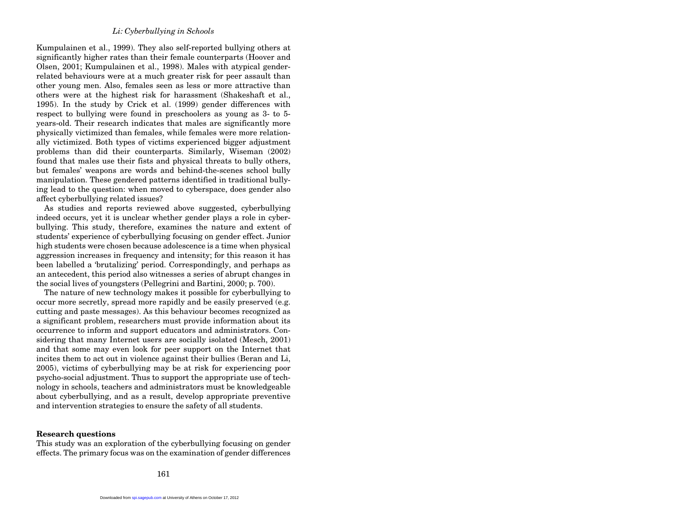Kumpulainen et al., 1999). They also self-reported bullying others at significantly higher rates than their female counterparts (Hoover and Olsen, 2001; Kumpulainen et al., 1998). Males with atypical genderrelated behaviours were at a much greater risk for peer assault than other young men. Also, females seen as less or more attractive than others were at the highest risk for harassment (Shakeshaft et al., 1995). In the study by Crick et al. (1999) gender differences with respect to bullying were found in preschoolers as young as 3- to 5 years-old. Their research indicates that males are significantly more physically victimized than females, while females were more relationally victimized. Both types of victims experienced bigger adjustment problems than did their counterparts. Similarly, Wiseman (2002) found that males use their fists and physical threats to bully others, but females' weapons are words and behind-the-scenes school bully manipulation. These gendered patterns identified in traditional bullying lead to the question: when moved to cyberspace, does gender also affect cyberbullying related issues?

As studies and reports reviewed above suggested, cyberbullying indeed occurs, yet it is unclear whether gender plays a role in cyberbullying. This study, therefore, examines the nature and extent of students' experience of cyberbullying focusing on gender effect. Junior high students were chosen because adolescence is a time when physical aggression increases in frequency and intensity; for this reason it has been labelled a 'brutalizing' period. Correspondingly, and perhaps as an antecedent, this period also witnesses a series of abrupt changes in the social lives of youngsters (Pellegrini and Bartini, 2000; p. 700).

The nature of new technology makes it possible for cyberbullying to occur more secretly, spread more rapidly and be easily preserved (e.g. cutting and paste messages). As this behaviour becomes recognized as a significant problem, researchers must provide information about its occurrence to inform and support educators and administrators. Considering that many Internet users are socially isolated (Mesch, 2001) and that some may even look for peer support on the Internet that incites them to act out in violence against their bullies (Beran and Li, 2005), victims of cyberbullying may be at risk for experiencing poor psycho-social adjustment. Thus to support the appropriate use of technology in schools, teachers and administrators must be knowledgeable about cyberbullying, and as a result, develop appropriate preventive and intervention strategies to ensure the safety of all students.

#### **Research questions**

This study was an exploration of the cyberbullying focusing on gender effects. The primary focus was on the examination of gender differences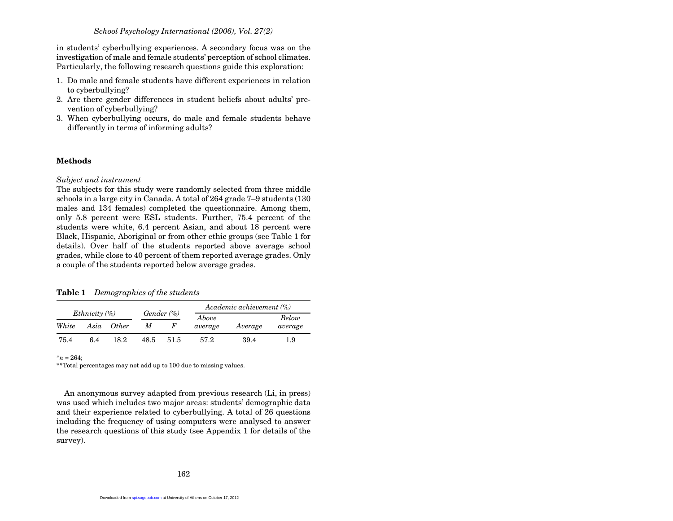in students' cyberbullying experiences. A secondary focus was on the investigation of male and female students' perception of school climates. Particularly, the following research questions guide this exploration:

- 1. Do male and female students have different experiences in relation to cyberbullying?
- 2. Are there gender differences in student beliefs about adults' prevention of cyberbullying?
- 3. When cyberbullying occurs, do male and female students behave differently in terms of informing adults?

## **Methods**

#### *Subject and instrument*

The subjects for this study were randomly selected from three middle schools in a large city in Canada. A total of 264 grade 7–9 students (130 males and 134 females) completed the questionnaire. Among them, only 5.8 percent were ESL students. Further, 75.4 percent of the students were white, 6.4 percent Asian, and about 18 percent were Black, Hispanic, Aboriginal or from other ethic groups (see Table 1 for details). Over half of the students reported above average school grades, while close to 40 percent of them reported average grades. Only a couple of the students reported below average grades.

| Ethnicity $(\%)$ |      |       | $Gender \, (\%)$ |      | Academic achievement $(\%)$ |         |                  |
|------------------|------|-------|------------------|------|-----------------------------|---------|------------------|
| White            | Asia | Other | М                | F    | Above<br>average            | Average | Below<br>average |
| 75.4             | 6.4  | 18 2  | 48.5             | 51.5 | 57.2                        | 39.4    | 1.9              |

**Table 1** *Demographics of the students* 

 $**n* = 264$ 

\*\*Total percentages may not add up to 100 due to missing values.

An anonymous survey adapted from previous research (Li, in press) was used which includes two major areas: students' demographic data and their experience related to cyberbullying. A total of 26 questions including the frequency of using computers were analysed to answer the research questions of this study (see Appendix 1 for details of the survey).

#### 162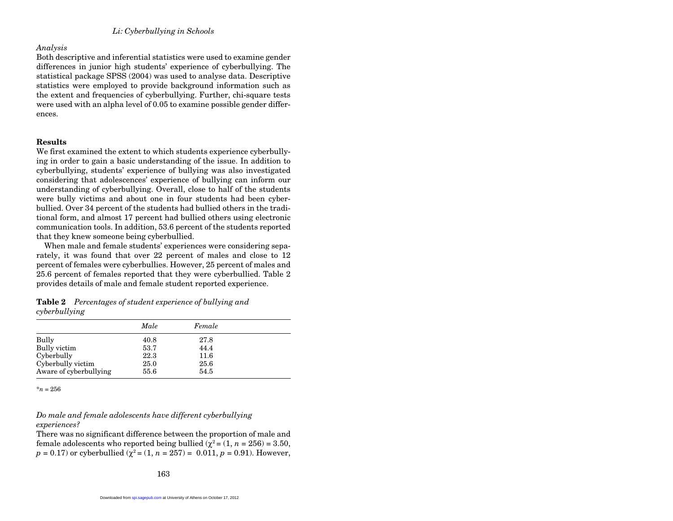#### *Analysis*

Both descriptive and inferential statistics were used to examine gender differences in junior high students' experience of cyberbullying. The statistical package SPSS (2004) was used to analyse data. Descriptive statistics were employed to provide background information such as the extent and frequencies of cyberbullying. Further, chi-square tests were used with an alpha level of 0.05 to examine possible gender differences.

#### **Results**

We first examined the extent to which students experience cyberbullying in order to gain a basic understanding of the issue. In addition to cyberbullying, students' experience of bullying was also investigated considering that adolescences' experience of bullying can inform our understanding of cyberbullying. Overall, close to half of the students were bully victims and about one in four students had been cyberbullied. Over 34 percent of the students had bullied others in the traditional form, and almost 17 percent had bullied others using electronic communication tools. In addition, 53.6 percent of the students reported that they knew someone being cyberbullied.

When male and female students' experiences were considering separately, it was found that over 22 percent of males and close to 12 percent of females were cyberbullies. However, 25 percent of males and 25.6 percent of females reported that they were cyberbullied. Table 2 provides details of male and female student reported experience.

| Male | Female |  |
|------|--------|--|
| 40.8 | 27.8   |  |
| 53.7 | 44.4   |  |
| 22.3 | 11.6   |  |
| 25.0 | 25.6   |  |
| 55.6 | 54.5   |  |
|      |        |  |

**Table 2** *Percentages of student experience of bullying and cyberbullying*

 $**n* = 256$ 

## *Do male and female adolescents have different cyberbullying experiences?*

There was no significant difference between the proportion of male and female adolescents who reported being bullied ( $χ² = (1, n = 256) = 3.50$ ,  $p = 0.17$ ) or cyberbullied ( $\chi^2 = (1, n = 257) = 0.011$ ,  $p = 0.91$ ). However,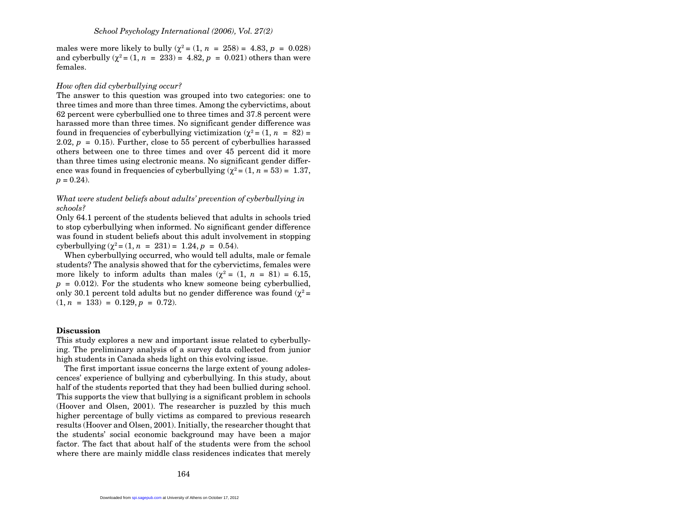males were more likely to bully  $(\chi^2 = (1, n = 258) = 4.83, p = 0.028)$ and cyberbully  $(\chi^2 = (1, n = 233) = 4.82, p = 0.021)$  others than were females.

#### *How often did cyberbullying occur?*

The answer to this question was grouped into two categories: one to three times and more than three times. Among the cybervictims, about 62 percent were cyberbullied one to three times and 37.8 percent were harassed more than three times. No significant gender difference was found in frequencies of cyberbullying victimization ( $\gamma^2 = (1, n = 82) =$ 2.02,  $p = 0.15$ ). Further, close to 55 percent of cyberbullies harassed others between one to three times and over 45 percent did it more than three times using electronic means. No significant gender difference was found in frequencies of cyberbullying  $(\chi^2 = (1, n = 53) = 1.37$ ,  $p = 0.24$ .

## *What were student beliefs about adults' prevention of cyberbullying in schools?*

Only 64.1 percent of the students believed that adults in schools tried to stop cyberbullying when informed. No significant gender difference was found in student beliefs about this adult involvement in stopping cyberbullying  $(\gamma^2 = (1, n = 231) = 1.24, p = 0.54)$ .

When cyberbullying occurred, who would tell adults, male or female students? The analysis showed that for the cybervictims, females were more likely to inform adults than males ( $\chi^2 = (1, n = 81) = 6.15$ ,  $p = 0.012$ . For the students who knew someone being cyberbullied, only 30.1 percent told adults but no gender difference was found  $(\chi^2 =$  $(1, n = 133) = 0.129, p = 0.72$ .

#### **Discussion**

This study explores a new and important issue related to cyberbullying. The preliminary analysis of a survey data collected from junior high students in Canada sheds light on this evolving issue.

The first important issue concerns the large extent of young adolescences' experience of bullying and cyberbullying. In this study, about half of the students reported that they had been bullied during school. This supports the view that bullying is a significant problem in schools (Hoover and Olsen, 2001). The researcher is puzzled by this much higher percentage of bully victims as compared to previous research results (Hoover and Olsen, 2001). Initially, the researcher thought that the students' social economic background may have been a major factor. The fact that about half of the students were from the school where there are mainly middle class residences indicates that merely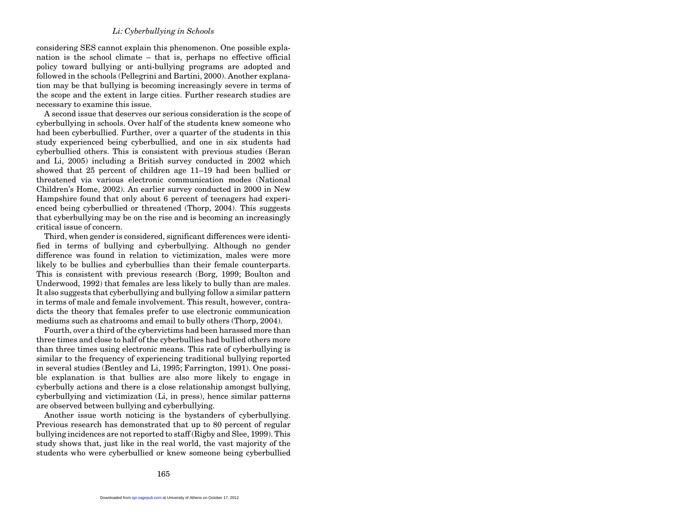considering SES cannot explain this phenomenon. One possible explanation is the school climate – that is, perhaps no effective official policy toward bullying or anti-bullying programs are adopted and followed in the schools (Pellegrini and Bartini, 2000). Another explanation may be that bullying is becoming increasingly severe in terms of the scope and the extent in large cities. Further research studies are necessary to examine this issue.

A second issue that deserves our serious consideration is the scope of cyberbullying in schools. Over half of the students knew someone who had been cyberbullied. Further, over a quarter of the students in this study experienced being cyberbullied, and one in six students had cyberbullied others. This is consistent with previous studies (Beran and Li, 2005) including a British survey conducted in 2002 which showed that 25 percent of children age 11–19 had been bullied or threatened via various electronic communication modes (National Children's Home, 2002). An earlier survey conducted in 2000 in New Hampshire found that only about 6 percent of teenagers had experienced being cyberbullied or threatened (Thorp, 2004). This suggests that cyberbullying may be on the rise and is becoming an increasingly critical issue of concern.

Third, when gender is considered, significant differences were identified in terms of bullying and cyberbullying. Although no gender difference was found in relation to victimization, males were more likely to be bullies and cyberbullies than their female counterparts. This is consistent with previous research (Borg, 1999; Boulton and Underwood, 1992) that females are less likely to bully than are males. It also suggests that cyberbullying and bullying follow a similar pattern in terms of male and female involvement. This result, however, contradicts the theory that females prefer to use electronic communication mediums such as chatrooms and email to bully others (Thorp, 2004).

Fourth, over a third of the cybervictims had been harassed more than three times and close to half of the cyberbullies had bullied others more than three times using electronic means. This rate of cyberbullying is similar to the frequency of experiencing traditional bullying reported in several studies (Bentley and Li, 1995; Farrington, 1991). One possible explanation is that bullies are also more likely to engage in cyberbully actions and there is a close relationship amongst bullying, cyberbullying and victimization (Li, in press), hence similar patterns are observed between bullying and cyberbullying.

Another issue worth noticing is the bystanders of cyberbullying. Previous research has demonstrated that up to 80 percent of regular bullying incidences are not reported to staff (Rigby and Slee, 1999). This study shows that, just like in the real world, the vast majority of the students who were cyberbullied or knew someone being cyberbullied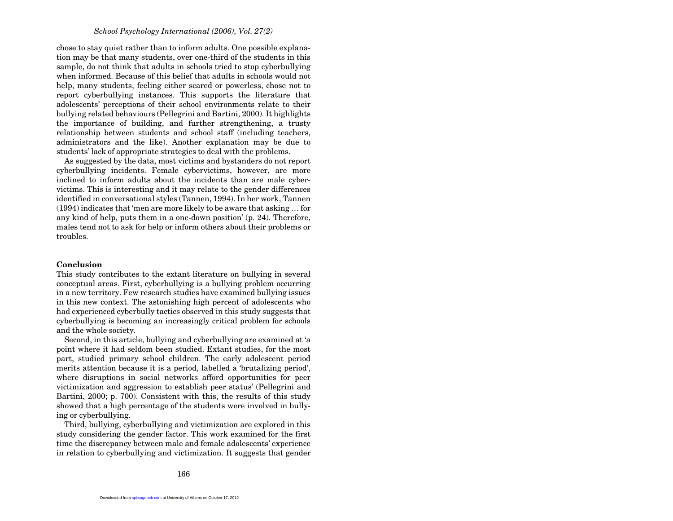chose to stay quiet rather than to inform adults. One possible explanation may be that many students, over one-third of the students in this sample, do not think that adults in schools tried to stop cyberbullying when informed. Because of this belief that adults in schools would not help, many students, feeling either scared or powerless, chose not to report cyberbullying instances. This supports the literature that adolescents' perceptions of their school environments relate to their bullying related behaviours (Pellegrini and Bartini, 2000). It highlights the importance of building, and further strengthening, a trusty relationship between students and school staff (including teachers, administrators and the like). Another explanation may be due to students' lack of appropriate strategies to deal with the problems.

As suggested by the data, most victims and bystanders do not report cyberbullying incidents. Female cybervictims, however, are more inclined to inform adults about the incidents than are male cybervictims. This is interesting and it may relate to the gender differences identified in conversational styles (Tannen, 1994). In her work, Tannen (1994) indicates that 'men are more likely to be aware that asking … for any kind of help, puts them in a one-down position' (p. 24). Therefore, males tend not to ask for help or inform others about their problems or troubles.

#### **Conclusion**

This study contributes to the extant literature on bullying in several conceptual areas. First, cyberbullying is a bullying problem occurring in a new territory. Few research studies have examined bullying issues in this new context. The astonishing high percent of adolescents who had experienced cyberbully tactics observed in this study suggests that cyberbullying is becoming an increasingly critical problem for schools and the whole society.

Second, in this article, bullying and cyberbullying are examined at 'a point where it had seldom been studied. Extant studies, for the most part, studied primary school children. The early adolescent period merits attention because it is a period, labelled a 'brutalizing period', where disruptions in social networks afford opportunities for peer victimization and aggression to establish peer status' (Pellegrini and Bartini, 2000; p. 700). Consistent with this, the results of this study showed that a high percentage of the students were involved in bullying or cyberbullying.

Third, bullying, cyberbullying and victimization are explored in this study considering the gender factor. This work examined for the first time the discrepancy between male and female adolescents' experience in relation to cyberbullying and victimization. It suggests that gender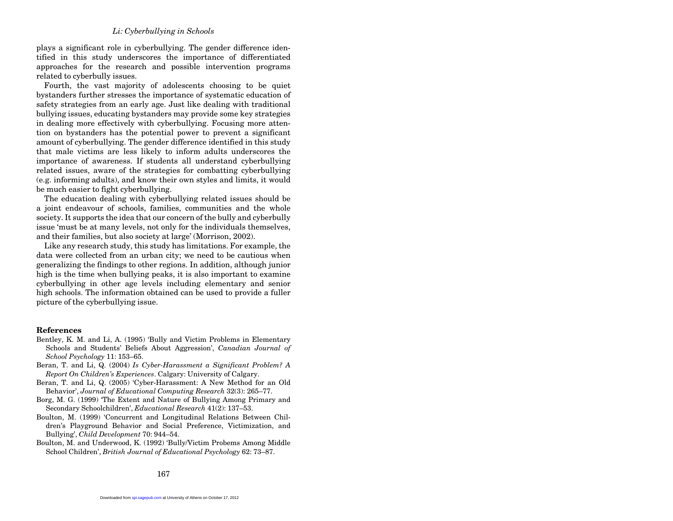plays a significant role in cyberbullying. The gender difference identified in this study underscores the importance of differentiated approaches for the research and possible intervention programs related to cyberbully issues.

Fourth, the vast majority of adolescents choosing to be quiet bystanders further stresses the importance of systematic education of safety strategies from an early age. Just like dealing with traditional bullying issues, educating bystanders may provide some key strategies in dealing more effectively with cyberbullying. Focusing more attention on bystanders has the potential power to prevent a significant amount of cyberbullying. The gender difference identified in this study that male victims are less likely to inform adults underscores the importance of awareness. If students all understand cyberbullying related issues, aware of the strategies for combatting cyberbullying (e.g. informing adults), and know their own styles and limits, it would be much easier to fight cyberbullying.

The education dealing with cyberbullying related issues should be a joint endeavour of schools, families, communities and the whole society. It supports the idea that our concern of the bully and cyberbully issue 'must be at many levels, not only for the individuals themselves, and their families, but also society at large' (Morrison, 2002).

Like any research study, this study has limitations. For example, the data were collected from an urban city; we need to be cautious when generalizing the findings to other regions. In addition, although junior high is the time when bullying peaks, it is also important to examine cyberbullying in other age levels including elementary and senior high schools. The information obtained can be used to provide a fuller picture of the cyberbullying issue.

#### **References**

- Bentley, K. M. and Li, A. (1995) 'Bully and Victim Problems in Elementary Schools and Students' Beliefs About Aggression', *Canadian Journal of School Psychology* 11: 153–65.
- Beran, T. and Li, Q. (2004) *Is Cyber-Harassment a Significant Problem? A Report On Children's Experiences*. Calgary: University of Calgary.
- Beran, T. and Li, Q. (2005) 'Cyber-Harassment: A New Method for an Old Behavior', *Journal of Educational Computing Research* 32(3): 265–77.
- Borg, M. G. (1999) 'The Extent and Nature of Bullying Among Primary and Secondary Schoolchildren', *Educational Research* 41(2): 137–53.
- Boulton, M. (1999) 'Concurrent and Longitudinal Relations Between Children's Playground Behavior and Social Preference, Victimization, and Bullying', *Child Development* 70: 944–54.
- Boulton, M. and Underwood, K. (1992) 'Bully/Victim Probems Among Middle School Children', *British Journal of Educational Psychology* 62: 73–87.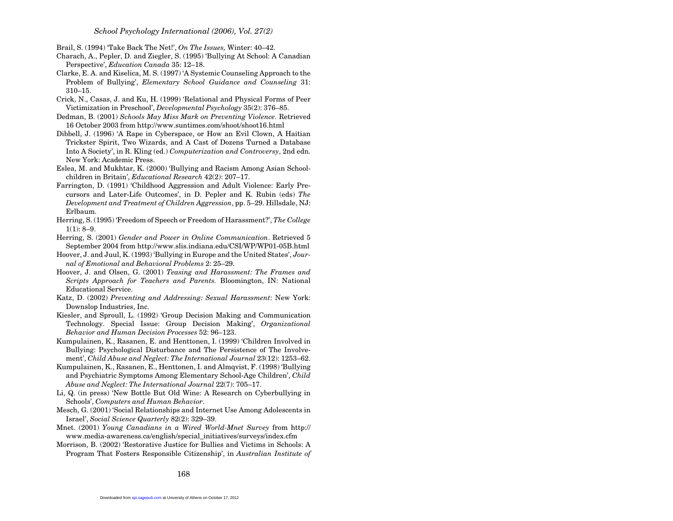Brail, S. (1994) 'Take Back The Net!', *On The Issues,* Winter: 40–42.

- Charach, A., Pepler, D. and Ziegler, S. (1995) 'Bullying At School: A Canadian Perspective', *Education Canada* 35: 12–18.
- Clarke, E. A. and Kiselica, M. S. (1997) 'A Systemic Counseling Approach to the Problem of Bullying', *Elementary School Guidance and Counseling* 31: 310–15.
- Crick, N., Casas, J. and Ku, H. (1999) 'Relational and Physical Forms of Peer Victimization in Preschool', *Developmental Psychology* 35(2): 376–85.
- Dedman, B. (2001) *Schools May Miss Mark on Preventing Violence*. Retrieved 16 October 2003 from http://www.suntimes.com/shoot/shoot16.html
- Dibbell, J. (1996) 'A Rape in Cyberspace, or How an Evil Clown, A Haitian Trickster Spirit, Two Wizards, and A Cast of Dozens Turned a Database Into A Society', in R. Kling (ed.) *Computerization and Controversy*, 2nd edn. New York: Academic Press.
- Eslea, M. and Mukhtar, K. (2000) 'Bullying and Racism Among Asian Schoolchildren in Britain', *Educational Research* 42(2): 207–17.
- Farrington, D. (1991) 'Childhood Aggression and Adult Violence: Early Precursors and Later-Life Outcomes', in D. Pepler and K. Rubin (eds) *The Development and Treatment of Children Aggression*, pp. 5–29. Hillsdale, NJ: Erlbaum.
- Herring, S. (1995) 'Freedom of Speech or Freedom of Harassment?', *The College*  $1(1): 8-9.$
- Herring, S. (2001) *Gender and Power in Online Communication*. Retrieved 5 September 2004 from http://www.slis.indiana.edu/CSI/WP/WP01-05B.html
- Hoover, J. and Juul, K. (1993) 'Bullying in Europe and the United States', *Journal of Emotional and Behavioral Problems* 2: 25–29.
- Hoover, J. and Olsen, G. (2001) *Teasing and Harassment: The Frames and Scripts Approach for Teachers and Parents.* Bloomington, IN: National Educational Service.
- Katz, D. (2002) *Preventing and Addressing: Sexual Harassment*: New York: Downslop Industries, Inc.
- Kiesler, and Sproull, L. (1992) 'Group Decision Making and Communication Technology. Special Issue: Group Decision Making', *Organizational Behavior and Human Decision Processes* 52: 96–123.
- Kumpulainen, K., Rasanen, E. and Henttonen, I. (1999) 'Children Involved in Bullying: Psychological Disturbance and The Persistence of The Involvement', *Child Abuse and Neglect: The International Journal* 23(12): 1253–62.
- Kumpulainen, K., Rasanen, E., Henttonen, I. and Almqvist, F. (1998) 'Bullying and Psychiatric Symptoms Among Elementary School-Age Children', *Child Abuse and Neglect: The International Journal* 22(7): 705–17.
- Li, Q. (in press) 'New Bottle But Old Wine: A Research on Cyberbullying in Schools', *Computers and Human Behavior*.
- Mesch, G. (2001) 'Social Relationships and Internet Use Among Adolescents in Israel', *Social Science Quarterly* 82(2): 329–39.
- Mnet. (2001) *Young Canadians in a Wired World-Mnet Survey* from http:// www.media-awareness.ca/english/special\_initiatives/surveys/index.cfm
- Morrison, B. (2002) 'Restorative Justice for Bullies and Victims in Schools: A Program That Fosters Responsible Citizenship', in *Australian Institute of*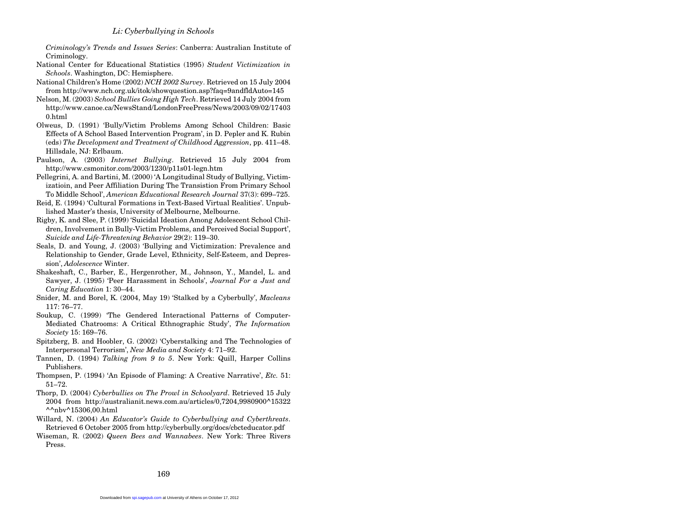*Criminology's Trends and Issues Series*: Canberra: Australian Institute of Criminology.

- National Center for Educational Statistics (1995) *Student Victimization in Schools*. Washington, DC: Hemisphere.
- National Children's Home (2002) *NCH 2002 Survey*. Retrieved on 15 July 2004 from http://www.nch.org.uk/itok/showquestion.asp?faq=9andfldAuto=145
- Nelson, M. (2003) *School Bullies Going High Tech*. Retrieved 14 July 2004 from http://www.canoe.ca/NewsStand/LondonFreePress/News/2003/09/02/17403 0.html
- Olweus, D. (1991) 'Bully/Victim Problems Among School Children: Basic Effects of A School Based Intervention Program', in D. Pepler and K. Rubin (eds) *The Development and Treatment of Childhood Aggression*, pp. 411–48. Hillsdale, NJ: Erlbaum.
- Paulson, A. (2003) *Internet Bullying*. Retrieved 15 July 2004 from http://www.csmonitor.com/2003/1230/p11s01-legn.htm
- Pellegrini, A. and Bartini, M. (2000) 'A Longitudinal Study of Bullying, Victimizatioin, and Peer Affiliation During The Transistion From Primary School To Middle School', *American Educational Research Journal* 37(3): 699–725.
- Reid, E. (1994) 'Cultural Formations in Text-Based Virtual Realities'. Unpublished Master's thesis, University of Melbourne, Melbourne.
- Rigby, K. and Slee, P. (1999) 'Suicidal Ideation Among Adolescent School Children, Involvement in Bully-Victim Problems, and Perceived Social Support', *Suicide and Life-Threatening Behavior* 29(2): 119–30.
- Seals, D. and Young, J. (2003) 'Bullying and Victimization: Prevalence and Relationship to Gender, Grade Level, Ethnicity, Self-Esteem, and Depression', *Adolescence* Winter.
- Shakeshaft, C., Barber, E., Hergenrother, M., Johnson, Y., Mandel, L. and Sawyer, J. (1995) 'Peer Harassment in Schools', *Journal For a Just and Caring Education* 1: 30–44.
- Snider, M. and Borel, K. (2004, May 19) 'Stalked by a Cyberbully', *Macleans* 117: 76–77.
- Soukup, C. (1999) 'The Gendered Interactional Patterns of Computer-Mediated Chatrooms: A Critical Ethnographic Study', *The Information Society* 15: 169–76.
- Spitzberg, B. and Hoobler, G. (2002) 'Cyberstalking and The Technologies of Interpersonal Terrorism', *New Media and Society* 4: 71–92.
- Tannen, D. (1994) *Talking from 9 to 5*. New York: Quill, Harper Collins Publishers.
- Thompsen, P. (1994) 'An Episode of Flaming: A Creative Narrative', *Etc.* 51: 51–72.
- Thorp, D. (2004) *Cyberbullies on The Prowl in Schoolyard*. Retrieved 15 July 2004 from http://australianit.news.com.au/articles/0,7204,9980900^15322 ^^nbv^15306,00.html
- Willard, N. (2004) *An Educator's Guide to Cyberbullying and Cyberthreats*. Retrieved 6 October 2005 from http://cyberbully.org/docs/cbcteducator.pdf
- Wiseman, R. (2002) *Queen Bees and Wannabees*. New York: Three Rivers Press.